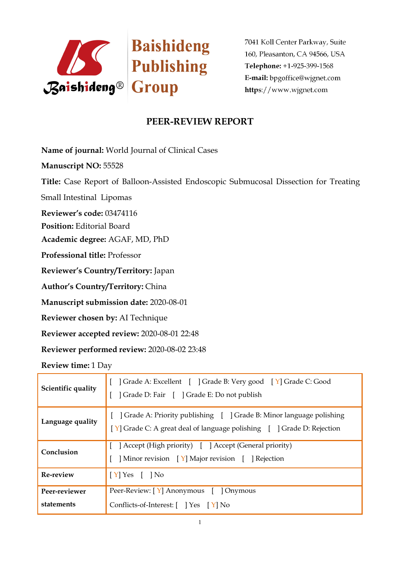

## **PEER-REVIEW REPORT**

**Name of journal:** World Journal of Clinical Cases

**Manuscript NO:** 55528

**Title:** Case Report of Balloon-Assisted Endoscopic Submucosal Dissection for Treating

Small Intestinal Lipomas

**Reviewer's code:** 03474116

**Position:** Editorial Board

**Academic degree:** AGAF, MD, PhD

**Professional title:** Professor

**Reviewer's Country/Territory:** Japan

**Author's Country/Territory:** China

**Manuscript submission date:** 2020-08-01

**Reviewer chosen by:** AI Technique

**Reviewer accepted review:** 2020-08-01 22:48

**Reviewer performed review:** 2020-08-02 23:48

**Review time:** 1 Day

| Scientific quality          | Crade A: Excellent [ ] Grade B: Very good [ Y] Grade C: Good<br>] Grade D: Fair [ ] Grade E: Do not publish                                  |  |
|-----------------------------|----------------------------------------------------------------------------------------------------------------------------------------------|--|
| Language quality            | Grade A: Priority publishing     Grade B: Minor language polishing<br>[Y] Grade C: A great deal of language polishing [ ] Grade D: Rejection |  |
| Conclusion                  | [ ] Accept (High priority) [ ] Accept (General priority)<br>Minor revision [Y] Major revision [ ] Rejection                                  |  |
| Re-review                   | $[Y]$ Yes $[$ $]$ No                                                                                                                         |  |
| Peer-reviewer<br>statements | Peer-Review: [Y] Anonymous [ ] Onymous<br>Conflicts-of-Interest: [ ] Yes [Y] No                                                              |  |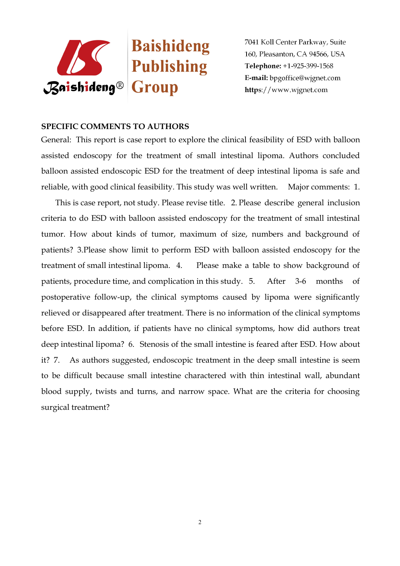

#### **SPECIFIC COMMENTS TO AUTHORS**

General: This report is case report to explore the clinical feasibility of ESD with balloon assisted endoscopy for the treatment of small intestinal lipoma. Authors concluded balloon assisted endoscopic ESD for the treatment of deep intestinal lipoma is safe and reliable, with good clinical feasibility. This study was well written. Major comments: 1.

This is case report, not study. Please revise title. 2. Please describe general inclusion criteria to do ESD with balloon assisted endoscopy for the treatment of small intestinal tumor. How about kinds of tumor, maximum of size, numbers and background of patients? 3.Please show limit to perform ESD with balloon assisted endoscopy for the treatment of small intestinal lipoma. 4. Please make a table to show background of patients, procedure time, and complication in this study. 5. After 3-6 months of postoperative follow-up, the clinical symptoms caused by lipoma were significantly relieved or disappeared after treatment. There is no information of the clinical symptoms before ESD. In addition, if patients have no clinical symptoms, how did authors treat deep intestinal lipoma? 6. Stenosis of the small intestine is feared after ESD. How about it? 7. As authors suggested, endoscopic treatment in the deep small intestine is seem to be difficult because small intestine charactered with thin intestinal wall, abundant blood supply, twists and turns, and narrow space. What are the criteria for choosing surgical treatment?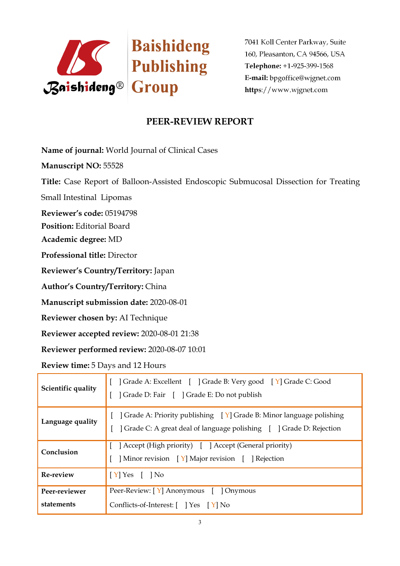

# **PEER-REVIEW REPORT**

**Name of journal:** World Journal of Clinical Cases

**Manuscript NO:** 55528

**Title:** Case Report of Balloon-Assisted Endoscopic Submucosal Dissection for Treating

Small Intestinal Lipomas

**Reviewer's code:** 05194798

**Position:** Editorial Board

**Academic degree:** MD

**Professional title:** Director

**Reviewer's Country/Territory:** Japan

**Author's Country/Territory:** China

**Manuscript submission date:** 2020-08-01

**Reviewer chosen by:** AI Technique

**Reviewer accepted review:** 2020-08-01 21:38

**Reviewer performed review:** 2020-08-07 10:01

**Review time:** 5 Days and 12 Hours

| Scientific quality          | ] Grade A: Excellent [ ] Grade B: Very good [ Y] Grade C: Good<br>] Grade D: Fair [ ] Grade E: Do not publish                                                |  |
|-----------------------------|--------------------------------------------------------------------------------------------------------------------------------------------------------------|--|
| Language quality            | $\vert$ Grade A: Priority publishing $\vert Y \vert$ Grade B: Minor language polishing<br>Crade C: A great deal of language polishing [ ] Grade D: Rejection |  |
| Conclusion                  | [ ] Accept (High priority) [ ] Accept (General priority)<br>Minor revision [Y] Major revision [ ] Rejection                                                  |  |
| Re-review                   | $[Y]$ Yes $[$ $]$ No                                                                                                                                         |  |
| Peer-reviewer<br>statements | Peer-Review: [Y] Anonymous [ ] Onymous<br>Conflicts-of-Interest: [ ] Yes [Y] No                                                                              |  |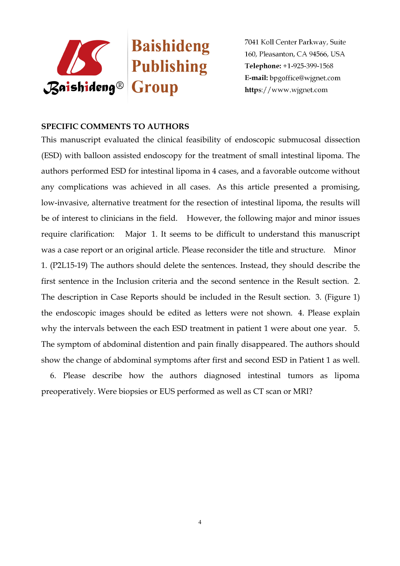

### **SPECIFIC COMMENTS TO AUTHORS**

This manuscript evaluated the clinical feasibility of endoscopic submucosal dissection (ESD) with balloon assisted endoscopy for the treatment of small intestinal lipoma. The authors performed ESD for intestinal lipoma in 4 cases, and a favorable outcome without any complications was achieved in all cases. As this article presented a promising, low-invasive, alternative treatment for the resection of intestinal lipoma, the results will be of interest to clinicians in the field. However, the following major and minor issues require clarification: Major 1. It seems to be difficult to understand this manuscript was a case report or an original article. Please reconsider the title and structure. Minor 1. (P2L15-19) The authors should delete the sentences. Instead, they should describe the first sentence in the Inclusion criteria and the second sentence in the Result section. 2. The description in Case Reports should be included in the Result section. 3. (Figure 1) the endoscopic images should be edited as letters were not shown. 4. Please explain why the intervals between the each ESD treatment in patient 1 were about one year. 5. The symptom of abdominal distention and pain finally disappeared. The authors should show the change of abdominal symptoms after first and second ESD in Patient 1 as well.

6. Please describe how the authors diagnosed intestinal tumors as lipoma preoperatively. Were biopsies or EUS performed as well as CT scan or MRI?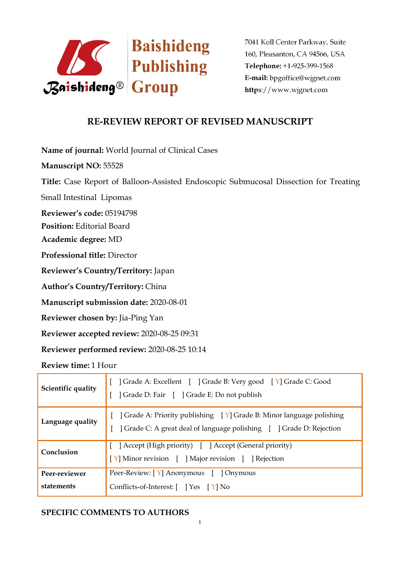

## **RE-REVIEW REPORT OF REVISED MANUSCRIPT**

**Name of journal:** World Journal of Clinical Cases

**Manuscript NO:** 55528

**Title:** Case Report of Balloon-Assisted Endoscopic Submucosal Dissection for Treating

Small Intestinal Lipomas

**Reviewer's code:** 05194798

**Position:** Editorial Board

**Academic degree:** MD

**Professional title:** Director

**Reviewer's Country/Territory:** Japan

**Author's Country/Territory:** China

**Manuscript submission date:** 2020-08-01

**Reviewer chosen by:** Jia-Ping Yan

**Reviewer accepted review:** 2020-08-25 09:31

**Reviewer performed review:** 2020-08-25 10:14

**Review time:** 1 Hour

| Scientific quality | Grade A: Excellent     Grade B: Very good   Y   Grade C: Good<br>  Grade D: Fair [ ] Grade E: Do not publish                                 |  |
|--------------------|----------------------------------------------------------------------------------------------------------------------------------------------|--|
| Language quality   | ] Grade A: Priority publishing [Y] Grade B: Minor language polishing<br>] Grade C: A great deal of language polishing [ ] Grade D: Rejection |  |
| Conclusion         | [ ] Accept (High priority) [ ] Accept (General priority)<br>[Y] Minor revision [ ] Major revision [ ] Rejection                              |  |
| Peer-reviewer      | Peer-Review: $\begin{bmatrix} Y \end{bmatrix}$ Anonymous $\begin{bmatrix} \end{bmatrix}$ Onymous                                             |  |
| statements         | Conflicts-of-Interest: [ ] Yes [Y] No                                                                                                        |  |

### **SPECIFIC COMMENTS TO AUTHORS**